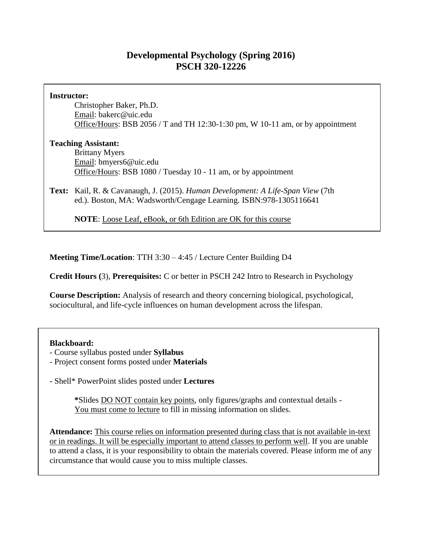# **Developmental Psychology (Spring 2016) PSCH 320-12226**

#### **Instructor:**

Christopher Baker, Ph.D. Email: bakerc@uic.edu Office/Hours: BSB 2056 / T and TH 12:30-1:30 pm, W 10-11 am, or by appointment

### **Teaching Assistant:**

Brittany Myers Email: bmyers6@uic.edu Office/Hours: BSB 1080 / Tuesday 10 - 11 am, or by appointment

**Text:** Kail, R. & Cavanaugh, J. (2015). *Human Development: A Life-Span View* (7th ed.). Boston, MA: Wadsworth/Cengage Learning. ISBN:978-1305116641

**NOTE**: Loose Leaf, eBook, or 6th Edition are OK for this course

**Meeting Time/Location**: TTH 3:30 – 4:45 / Lecture Center Building D4

**Credit Hours (**3), **Prerequisites:** C or better in PSCH 242 Intro to Research in Psychology

**Course Description:** Analysis of research and theory concerning biological, psychological, sociocultural, and life-cycle influences on human development across the lifespan.

# **Blackboard:**

- Course syllabus posted under **Syllabus**
- Project consent forms posted under **Materials**
- Shell\* PowerPoint slides posted under **Lectures**

**\***Slides DO NOT contain key points, only figures/graphs and contextual details - You must come to lecture to fill in missing information on slides.

**Attendance:** This course relies on information presented during class that is not available in-text or in readings. It will be especially important to attend classes to perform well. If you are unable to attend a class, it is your responsibility to obtain the materials covered. Please inform me of any circumstance that would cause you to miss multiple classes.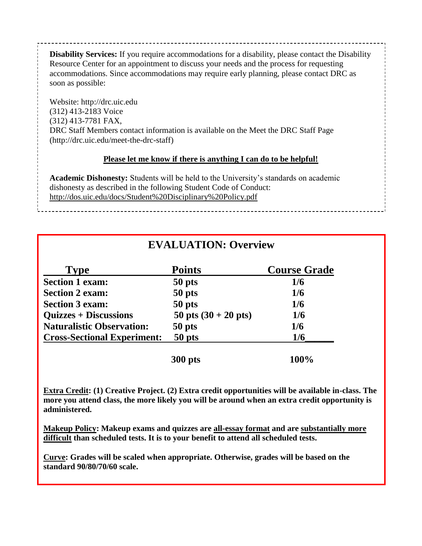**Disability Services:** If you require accommodations for a disability, please contact the Disability Resource Center for an appointment to discuss your needs and the process for requesting accommodations. Since accommodations may require early planning, please contact DRC as soon as possible:

Website: http://drc.uic.edu (312) 413-2183 Voice (312) 413-7781 FAX, DRC Staff Members contact information is available on the Meet the DRC Staff Page (http://drc.uic.edu/meet-the-drc-staff)

# **Please let me know if there is anything I can do to be helpful!**

**Academic Dishonesty:** Students will be held to the University's standards on academic dishonesty as described in the following Student Code of Conduct: http://dos.uic.edu/docs/Student%20Disciplinary%20Policy.pdf

| <b>EVALUATION: Overview</b> |  |
|-----------------------------|--|
|-----------------------------|--|

| Tvpe                                         | <b>Points</b>          | <b>Course Grade</b> |
|----------------------------------------------|------------------------|---------------------|
| <b>Section 1 exam:</b>                       | 50 pts                 | 1/6                 |
| <b>Section 2 exam:</b>                       | 50 pts                 | 1/6                 |
| <b>Section 3 exam:</b>                       | 50 pts                 | 1/6                 |
| <b>Quizzes + Discussions</b>                 | 50 pts $(30 + 20$ pts) | 1/6                 |
| <b>Naturalistic Observation:</b>             | 50 pts                 | 1/6                 |
| 50 pts<br><b>Cross-Sectional Experiment:</b> | 1/6                    |                     |
|                                              | <b>300 pts</b>         | 100%                |

**Extra Credit: (1) Creative Project. (2) Extra credit opportunities will be available in-class. The more you attend class, the more likely you will be around when an extra credit opportunity is administered.**

**Makeup Policy: Makeup exams and quizzes are all-essay format and are substantially more difficult than scheduled tests. It is to your benefit to attend all scheduled tests.**

**Curve: Grades will be scaled when appropriate. Otherwise, grades will be based on the standard 90/80/70/60 scale.**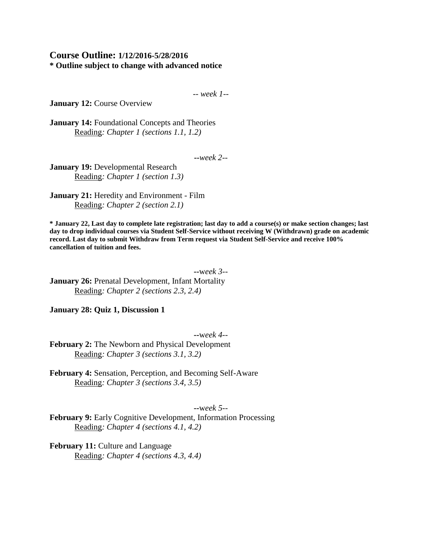### **Course Outline: 1/12/2016-5/28/2016 \* Outline subject to change with advanced notice**

-- *week 1--*

**January 12: Course Overview** 

**January 14:** Foundational Concepts and Theories Reading*: Chapter 1 (sections 1.1, 1.2)*

**--***week 2--*

**January 19:** Developmental Research Reading*: Chapter 1 (section 1.3)*

**January 21:** Heredity and Environment - Film Reading*: Chapter 2 (section 2.1)*

**\* January 22, Last day to complete late registration; last day to add a course(s) or make section changes; last day to drop individual courses via Student Self-Service without receiving W (Withdrawn) grade on academic record. Last day to submit Withdraw from Term request via Student Self-Service and receive 100% cancellation of tuition and fees.**

**--**w*eek 3--* **January 26:** Prenatal Development, Infant Mortality Reading*: Chapter 2 (sections 2.3, 2.4)*

**January 28: Quiz 1, Discussion 1**

**--**w*eek 4--*

**February 2:** The Newborn and Physical Development Reading*: Chapter 3 (sections 3.1, 3.2)*

**February 4:** Sensation, Perception, and Becoming Self-Aware Reading*: Chapter 3 (sections 3.4, 3.5)*

**--**w*eek 5--*

**February 9:** Early Cognitive Development, Information Processing Reading*: Chapter 4 (sections 4.1, 4.2)*

**February 11:** Culture and Language Reading*: Chapter 4 (sections 4.3, 4.4)*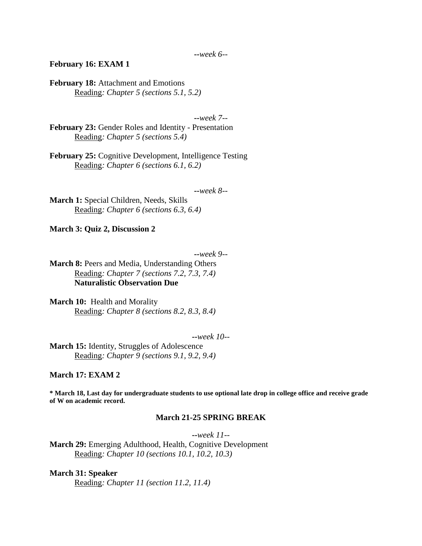#### **February 16: EXAM 1**

February 18: Attachment and Emotions Reading*: Chapter 5 (sections 5.1, 5.2)*

**--***week 7--*

**February 23:** Gender Roles and Identity - Presentation Reading*: Chapter 5 (sections 5.4)*

**February 25:** Cognitive Development, Intelligence Testing Reading*: Chapter 6 (sections 6.1, 6.2)*

**--***week 8--*

**March 1:** Special Children, Needs, Skills Reading*: Chapter 6 (sections 6.3, 6.4)*

**March 3: Quiz 2, Discussion 2**

**--***week 9--*

**March 8:** Peers and Media, Understanding Others Reading*: Chapter 7 (sections 7.2, 7.3, 7.4)* **Naturalistic Observation Due**

**March 10:** Health and Morality Reading*: Chapter 8 (sections 8.2, 8.3, 8.4)*

**--***week 10--*

**March 15:** Identity, Struggles of Adolescence Reading*: Chapter 9 (sections 9.1, 9.2, 9.4)*

**March 17: EXAM 2**

**\* March 18, Last day for undergraduate students to use optional late drop in college office and receive grade of W on academic record.**

### **March 21-25 SPRING BREAK**

**--***week 11--*

**March 29:** Emerging Adulthood, Health, Cognitive Development Reading*: Chapter 10 (sections 10.1, 10.2, 10.3)*

#### **March 31: Speaker**

Reading*: Chapter 11 (section 11.2, 11.4)*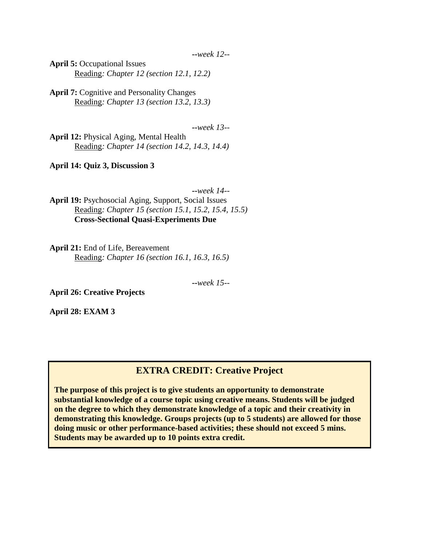**--***week 12--*

**April 5:** Occupational Issues Reading*: Chapter 12 (section 12.1, 12.2)*

**April 7:** Cognitive and Personality Changes Reading*: Chapter 13 (section 13.2, 13.3)*

**--***week 13--*

**April 12:** Physical Aging, Mental Health Reading*: Chapter 14 (section 14.2, 14.3, 14.4)*

**April 14: Quiz 3, Discussion 3**

**--***week 14--*

**April 19:** Psychosocial Aging, Support, Social Issues Reading*: Chapter 15 (section 15.1, 15.2, 15.4, 15.5)* **Cross-Sectional Quasi-Experiments Due**

**April 21:** End of Life, Bereavement Reading*: Chapter 16 (section 16.1, 16.3, 16.5)*

**--***week 15--*

**April 26: Creative Projects**

**April 28: EXAM 3**

# **EXTRA CREDIT: Creative Project**

**The purpose of this project is to give students an opportunity to demonstrate substantial knowledge of a course topic using creative means. Students will be judged on the degree to which they demonstrate knowledge of a topic and their creativity in demonstrating this knowledge. Groups projects (up to 5 students) are allowed for those doing music or other performance-based activities; these should not exceed 5 mins. Students may be awarded up to 10 points extra credit.**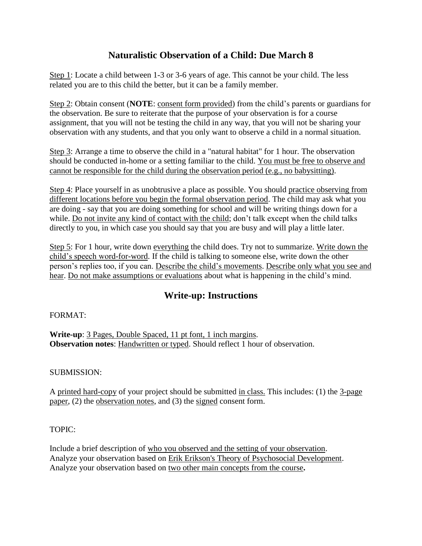# **Naturalistic Observation of a Child: Due March 8**

Step 1: Locate a child between 1-3 or 3-6 years of age. This cannot be your child. The less related you are to this child the better, but it can be a family member.

Step 2: Obtain consent (**NOTE**: consent form provided) from the child's parents or guardians for the observation. Be sure to reiterate that the purpose of your observation is for a course assignment, that you will not be testing the child in any way, that you will not be sharing your observation with any students, and that you only want to observe a child in a normal situation.

Step 3: Arrange a time to observe the child in a "natural habitat" for 1 hour. The observation should be conducted in-home or a setting familiar to the child. You must be free to observe and cannot be responsible for the child during the observation period (e.g., no babysitting).

Step 4: Place yourself in as unobtrusive a place as possible. You should practice observing from different locations before you begin the formal observation period. The child may ask what you are doing - say that you are doing something for school and will be writing things down for a while. Do not invite any kind of contact with the child; don't talk except when the child talks directly to you, in which case you should say that you are busy and will play a little later.

Step 5: For 1 hour, write down everything the child does. Try not to summarize. Write down the child's speech word-for-word. If the child is talking to someone else, write down the other person's replies too, if you can. Describe the child's movements. Describe only what you see and hear. Do not make assumptions or evaluations about what is happening in the child's mind.

# **Write-up: Instructions**

# FORMAT:

**Write-up**: 3 Pages, Double Spaced, 11 pt font, 1 inch margins. **Observation notes**: Handwritten or typed. Should reflect 1 hour of observation.

# SUBMISSION:

A printed hard-copy of your project should be submitted in class. This includes: (1) the 3-page paper, (2) the observation notes, and (3) the signed consent form.

# TOPIC:

Include a brief description of who you observed and the setting of your observation. Analyze your observation based on Erik Erikson's Theory of Psychosocial Development. Analyze your observation based on two other main concepts from the course**.**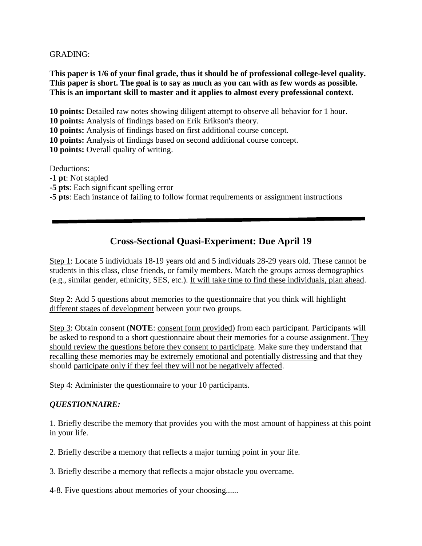GRADING:

**This paper is 1/6 of your final grade, thus it should be of professional college-level quality. This paper is short. The goal is to say as much as you can with as few words as possible. This is an important skill to master and it applies to almost every professional context.** 

**10 points:** Detailed raw notes showing diligent attempt to observe all behavior for 1 hour. **10 points:** Analysis of findings based on Erik Erikson's theory.

**10 points:** Analysis of findings based on first additional course concept.

**10 points:** Analysis of findings based on second additional course concept.

**10 points:** Overall quality of writing.

Deductions:

**-1 pt**: Not stapled

**-5 pts**: Each significant spelling error

**-5 pts**: Each instance of failing to follow format requirements or assignment instructions

# **Cross-Sectional Quasi-Experiment: Due April 19**

Step 1: Locate 5 individuals 18-19 years old and 5 individuals 28-29 years old. These cannot be students in this class, close friends, or family members. Match the groups across demographics (e.g., similar gender, ethnicity, SES, etc.). It will take time to find these individuals, plan ahead.

Step 2: Add 5 questions about memories to the questionnaire that you think will highlight different stages of development between your two groups.

Step 3: Obtain consent (**NOTE**: consent form provided) from each participant. Participants will be asked to respond to a short questionnaire about their memories for a course assignment. They should review the questions before they consent to participate. Make sure they understand that recalling these memories may be extremely emotional and potentially distressing and that they should participate only if they feel they will not be negatively affected.

Step 4: Administer the questionnaire to your 10 participants.

# *QUESTIONNAIRE:*

1. Briefly describe the memory that provides you with the most amount of happiness at this point in your life.

2. Briefly describe a memory that reflects a major turning point in your life.

3. Briefly describe a memory that reflects a major obstacle you overcame.

4-8. Five questions about memories of your choosing......